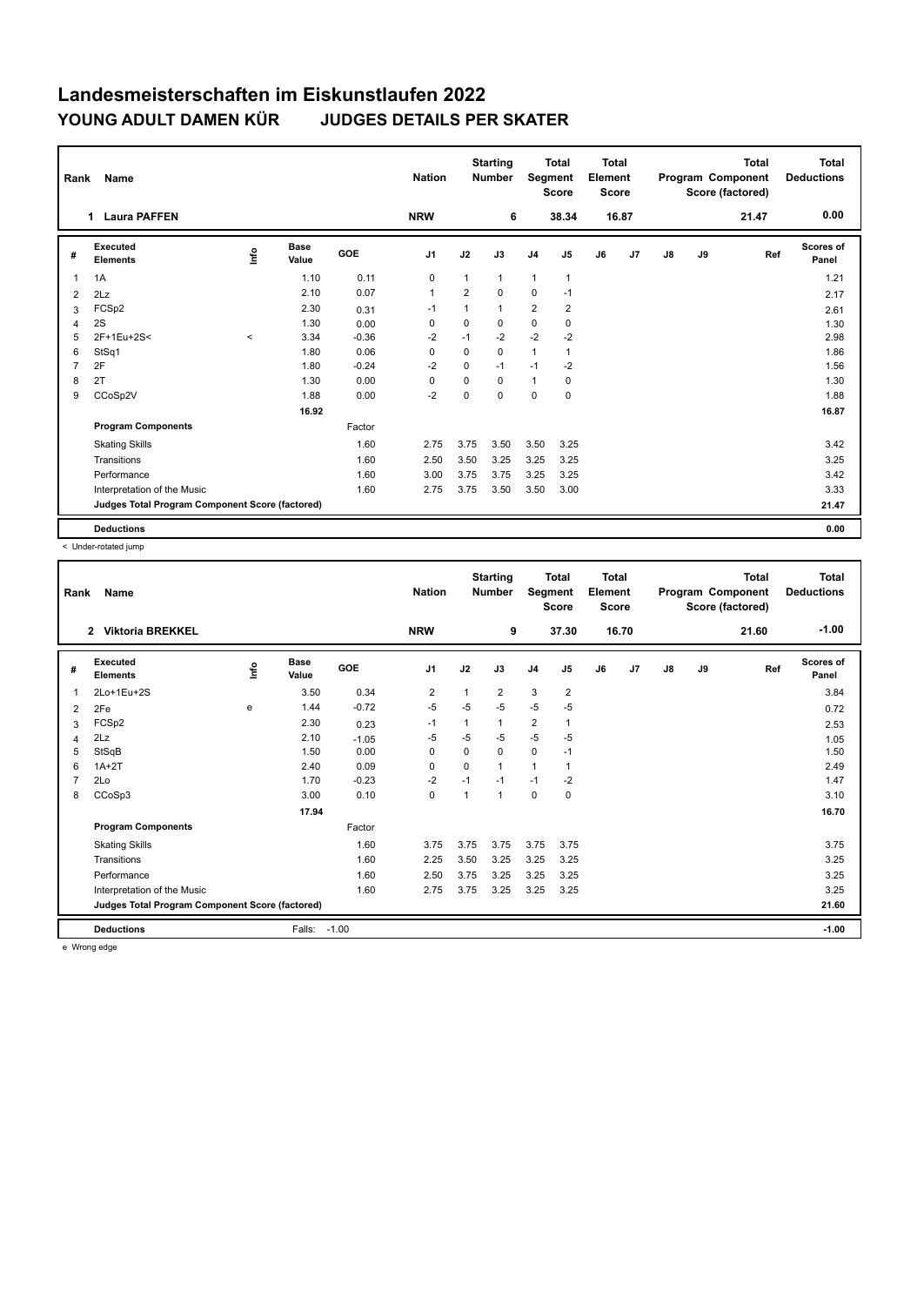| Rank           | Name                                            |         |               |            | <b>Nation</b>  |                | <b>Starting</b><br><b>Number</b> | <b>Total</b><br>Segment<br><b>Score</b> |                |    | Total<br>Element<br><b>Score</b> |    |    | <b>Total</b><br>Program Component<br>Score (factored) | <b>Total</b><br><b>Deductions</b> |
|----------------|-------------------------------------------------|---------|---------------|------------|----------------|----------------|----------------------------------|-----------------------------------------|----------------|----|----------------------------------|----|----|-------------------------------------------------------|-----------------------------------|
|                | <b>Laura PAFFEN</b><br>1                        |         |               |            | <b>NRW</b>     |                | 6                                |                                         | 38.34          |    | 16.87                            |    |    | 21.47                                                 | 0.00                              |
| #              | Executed<br><b>Elements</b>                     | lnfo    | Base<br>Value | <b>GOE</b> | J <sub>1</sub> | J2             | J3                               | J <sub>4</sub>                          | J <sub>5</sub> | J6 | J7                               | J8 | J9 | Ref                                                   | Scores of<br>Panel                |
| 1              | 1A                                              |         | 1.10          | 0.11       | $\mathbf 0$    | 1              | $\mathbf{1}$                     | $\mathbf{1}$                            | 1              |    |                                  |    |    |                                                       | 1.21                              |
| 2              | 2Lz                                             |         | 2.10          | 0.07       | $\mathbf{1}$   | $\overline{2}$ | $\mathbf 0$                      | $\mathbf 0$                             | $-1$           |    |                                  |    |    |                                                       | 2.17                              |
| 3              | FCSp2                                           |         | 2.30          | 0.31       | $-1$           | 1              | $\mathbf{1}$                     | $\overline{2}$                          | $\overline{2}$ |    |                                  |    |    |                                                       | 2.61                              |
| 4              | 2S                                              |         | 1.30          | 0.00       | $\mathbf 0$    | $\mathbf 0$    | $\mathbf 0$                      | $\mathbf 0$                             | $\mathbf 0$    |    |                                  |    |    |                                                       | 1.30                              |
| 5              | 2F+1Eu+2S<                                      | $\prec$ | 3.34          | $-0.36$    | $-2$           | $-1$           | $-2$                             | $-2$                                    | $-2$           |    |                                  |    |    |                                                       | 2.98                              |
| 6              | StSq1                                           |         | 1.80          | 0.06       | 0              | $\mathbf 0$    | 0                                | $\mathbf{1}$                            | 1              |    |                                  |    |    |                                                       | 1.86                              |
| $\overline{7}$ | 2F                                              |         | 1.80          | $-0.24$    | $-2$           | $\Omega$       | $-1$                             | $-1$                                    | $-2$           |    |                                  |    |    |                                                       | 1.56                              |
| 8              | 2T                                              |         | 1.30          | 0.00       | 0              | $\Omega$       | $\Omega$                         | $\mathbf{1}$                            | 0              |    |                                  |    |    |                                                       | 1.30                              |
| 9              | CCoSp2V                                         |         | 1.88          | 0.00       | $-2$           | 0              | 0                                | 0                                       | 0              |    |                                  |    |    |                                                       | 1.88                              |
|                |                                                 |         | 16.92         |            |                |                |                                  |                                         |                |    |                                  |    |    |                                                       | 16.87                             |
|                | <b>Program Components</b>                       |         |               | Factor     |                |                |                                  |                                         |                |    |                                  |    |    |                                                       |                                   |
|                | <b>Skating Skills</b>                           |         |               | 1.60       | 2.75           | 3.75           | 3.50                             | 3.50                                    | 3.25           |    |                                  |    |    |                                                       | 3.42                              |
|                | Transitions                                     |         |               | 1.60       | 2.50           | 3.50           | 3.25                             | 3.25                                    | 3.25           |    |                                  |    |    |                                                       | 3.25                              |
|                | Performance                                     |         |               | 1.60       | 3.00           | 3.75           | 3.75                             | 3.25                                    | 3.25           |    |                                  |    |    |                                                       | 3.42                              |
|                | Interpretation of the Music                     |         |               | 1.60       | 2.75           | 3.75           | 3.50                             | 3.50                                    | 3.00           |    |                                  |    |    |                                                       | 3.33                              |
|                | Judges Total Program Component Score (factored) |         |               |            |                |                |                                  |                                         |                |    |                                  |    |    |                                                       | 21.47                             |
|                | <b>Deductions</b>                               |         |               |            |                |                |                                  |                                         |                |    |                                  |    |    |                                                       | 0.00                              |

< Under-rotated jump

| Rank           | Name                                            |      |                      |         | <b>Nation</b> |             | <b>Starting</b><br><b>Number</b> | Segment                 | <b>Total</b><br><b>Score</b> | <b>Total</b><br>Element<br><b>Score</b> |       |    |    | <b>Total</b><br>Program Component<br>Score (factored) | <b>Total</b><br><b>Deductions</b> |
|----------------|-------------------------------------------------|------|----------------------|---------|---------------|-------------|----------------------------------|-------------------------|------------------------------|-----------------------------------------|-------|----|----|-------------------------------------------------------|-----------------------------------|
|                | <b>Viktoria BREKKEL</b><br>$\mathbf{2}$         |      |                      |         | <b>NRW</b>    |             | 9                                |                         | 37.30                        |                                         | 16.70 |    |    | 21.60                                                 | $-1.00$                           |
| #              | Executed<br><b>Elements</b>                     | lnfo | <b>Base</b><br>Value | GOE     | J1            | J2          | J3                               | J <sub>4</sub>          | J <sub>5</sub>               | J6                                      | J7    | J8 | J9 | Ref                                                   | <b>Scores of</b><br>Panel         |
| 1              | 2Lo+1Eu+2S                                      |      | 3.50                 | 0.34    | 2             |             | 2                                | 3                       | $\overline{2}$               |                                         |       |    |    |                                                       | 3.84                              |
| 2              | 2Fe                                             | e    | 1.44                 | $-0.72$ | $-5$          | $-5$        | $-5$                             | $-5$                    | $-5$                         |                                         |       |    |    |                                                       | 0.72                              |
| 3              | FCSp2                                           |      | 2.30                 | 0.23    | $-1$          |             | $\mathbf{1}$                     | $\overline{\mathbf{c}}$ |                              |                                         |       |    |    |                                                       | 2.53                              |
| 4              | 2Lz                                             |      | 2.10                 | $-1.05$ | -5            | $-5$        | $-5$                             | $-5$                    | $-5$                         |                                         |       |    |    |                                                       | 1.05                              |
| 5              | StSqB                                           |      | 1.50                 | 0.00    | 0             | $\mathbf 0$ | $\mathbf 0$                      | $\mathbf 0$             | $-1$                         |                                         |       |    |    |                                                       | 1.50                              |
| 6              | $1A+2T$                                         |      | 2.40                 | 0.09    | 0             | $\mathbf 0$ | $\mathbf{1}$                     | 1                       | $\mathbf{1}$                 |                                         |       |    |    |                                                       | 2.49                              |
| $\overline{7}$ | 2Lo                                             |      | 1.70                 | $-0.23$ | $-2$          | $-1$        | $-1$                             | $-1$                    | $-2$                         |                                         |       |    |    |                                                       | 1.47                              |
| 8              | CCoSp3                                          |      | 3.00                 | 0.10    | 0             | 1           | $\mathbf{1}$                     | 0                       | 0                            |                                         |       |    |    |                                                       | 3.10                              |
|                |                                                 |      | 17.94                |         |               |             |                                  |                         |                              |                                         |       |    |    |                                                       | 16.70                             |
|                | <b>Program Components</b>                       |      |                      | Factor  |               |             |                                  |                         |                              |                                         |       |    |    |                                                       |                                   |
|                | <b>Skating Skills</b>                           |      |                      | 1.60    | 3.75          | 3.75        | 3.75                             | 3.75                    | 3.75                         |                                         |       |    |    |                                                       | 3.75                              |
|                | Transitions                                     |      |                      | 1.60    | 2.25          | 3.50        | 3.25                             | 3.25                    | 3.25                         |                                         |       |    |    |                                                       | 3.25                              |
|                | Performance                                     |      |                      | 1.60    | 2.50          | 3.75        | 3.25                             | 3.25                    | 3.25                         |                                         |       |    |    |                                                       | 3.25                              |
|                | Interpretation of the Music                     |      |                      | 1.60    | 2.75          | 3.75        | 3.25                             | 3.25                    | 3.25                         |                                         |       |    |    |                                                       | 3.25                              |
|                | Judges Total Program Component Score (factored) |      |                      |         |               |             |                                  |                         |                              |                                         |       |    |    |                                                       | 21.60                             |
|                | <b>Deductions</b>                               |      | Falls:               | $-1.00$ |               |             |                                  |                         |                              |                                         |       |    |    |                                                       | $-1.00$                           |

e Wrong edge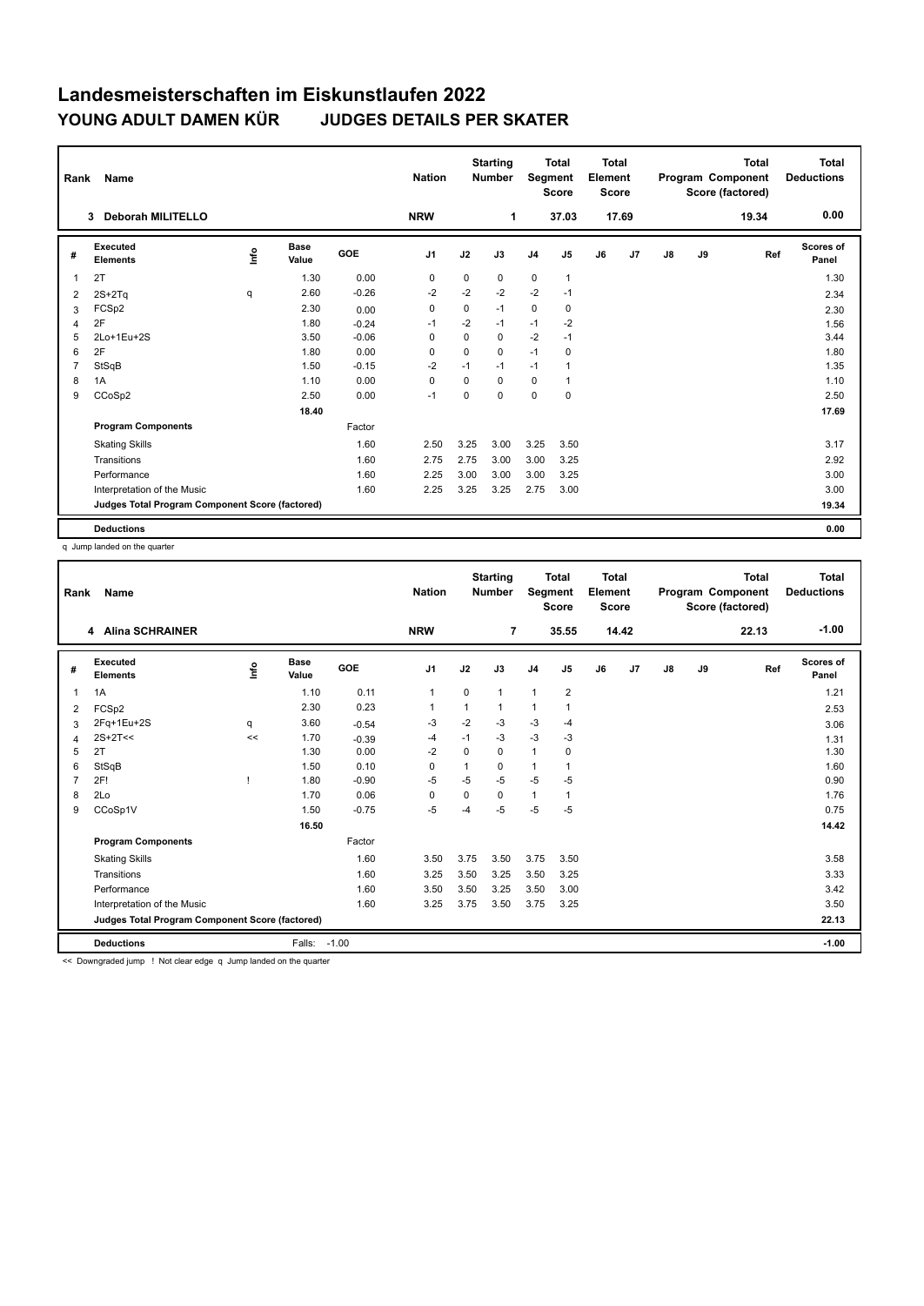| Rank           | Name                                            |      |                      | <b>Nation</b> |                | <b>Starting</b><br><b>Number</b> |          | <b>Total</b><br>Segment<br><b>Score</b> |                | <b>Total</b><br>Element<br><b>Score</b><br>17.69 |    |    | <b>Total</b><br>Program Component<br>Score (factored) | <b>Total</b><br><b>Deductions</b> |                    |
|----------------|-------------------------------------------------|------|----------------------|---------------|----------------|----------------------------------|----------|-----------------------------------------|----------------|--------------------------------------------------|----|----|-------------------------------------------------------|-----------------------------------|--------------------|
|                | <b>Deborah MILITELLO</b><br>3                   |      |                      |               | <b>NRW</b>     |                                  | 1        |                                         | 37.03          |                                                  |    |    |                                                       | 19.34                             | 0.00               |
| #              | Executed<br><b>Elements</b>                     | ١nf٥ | <b>Base</b><br>Value | <b>GOE</b>    | J <sub>1</sub> | J2                               | J3       | J <sub>4</sub>                          | J <sub>5</sub> | J6                                               | J7 | J8 | J9                                                    | Ref                               | Scores of<br>Panel |
| 1              | 2T                                              |      | 1.30                 | 0.00          | 0              | $\mathbf 0$                      | 0        | $\mathbf 0$                             | $\mathbf{1}$   |                                                  |    |    |                                                       |                                   | 1.30               |
| 2              | $2S+2Tq$                                        | q    | 2.60                 | $-0.26$       | $-2$           | $-2$                             | $-2$     | $-2$                                    | $-1$           |                                                  |    |    |                                                       |                                   | 2.34               |
| 3              | FCSp2                                           |      | 2.30                 | 0.00          | $\Omega$       | $\Omega$                         | $-1$     | $\mathbf 0$                             | 0              |                                                  |    |    |                                                       |                                   | 2.30               |
| 4              | 2F                                              |      | 1.80                 | $-0.24$       | $-1$           | $-2$                             | $-1$     | $-1$                                    | $-2$           |                                                  |    |    |                                                       |                                   | 1.56               |
| 5              | 2Lo+1Eu+2S                                      |      | 3.50                 | $-0.06$       | $\Omega$       | $\Omega$                         | $\Omega$ | $-2$                                    | $-1$           |                                                  |    |    |                                                       |                                   | 3.44               |
| 6              | 2F                                              |      | 1.80                 | 0.00          | $\Omega$       | $\Omega$                         | $\Omega$ | $-1$                                    | 0              |                                                  |    |    |                                                       |                                   | 1.80               |
| $\overline{7}$ | StSqB                                           |      | 1.50                 | $-0.15$       | $-2$           | $-1$                             | $-1$     | $-1$                                    | 1              |                                                  |    |    |                                                       |                                   | 1.35               |
| 8              | 1A                                              |      | 1.10                 | 0.00          | $\mathbf 0$    | $\Omega$                         | $\Omega$ | $\mathbf 0$                             | $\mathbf{1}$   |                                                  |    |    |                                                       |                                   | 1.10               |
| 9              | CCoSp2                                          |      | 2.50                 | 0.00          | $-1$           | 0                                | $\Omega$ | 0                                       | 0              |                                                  |    |    |                                                       |                                   | 2.50               |
|                |                                                 |      | 18.40                |               |                |                                  |          |                                         |                |                                                  |    |    |                                                       |                                   | 17.69              |
|                | <b>Program Components</b>                       |      |                      | Factor        |                |                                  |          |                                         |                |                                                  |    |    |                                                       |                                   |                    |
|                | <b>Skating Skills</b>                           |      |                      | 1.60          | 2.50           | 3.25                             | 3.00     | 3.25                                    | 3.50           |                                                  |    |    |                                                       |                                   | 3.17               |
|                | Transitions                                     |      |                      | 1.60          | 2.75           | 2.75                             | 3.00     | 3.00                                    | 3.25           |                                                  |    |    |                                                       |                                   | 2.92               |
|                | Performance                                     |      |                      | 1.60          | 2.25           | 3.00                             | 3.00     | 3.00                                    | 3.25           |                                                  |    |    |                                                       |                                   | 3.00               |
|                | Interpretation of the Music                     |      |                      | 1.60          | 2.25           | 3.25                             | 3.25     | 2.75                                    | 3.00           |                                                  |    |    |                                                       |                                   | 3.00               |
|                | Judges Total Program Component Score (factored) |      |                      |               |                |                                  |          |                                         |                |                                                  |    |    |                                                       |                                   | 19.34              |
|                | <b>Deductions</b>                               |      |                      |               |                |                                  |          |                                         |                |                                                  |    |    |                                                       |                                   | 0.00               |

q Jump landed on the quarter

| Rank | Name                                            |    |                      |         | <b>Nation</b>  |             | <b>Starting</b><br><b>Number</b> | Segment        | <b>Total</b><br><b>Score</b> | <b>Total</b><br>Element<br><b>Score</b> |       |               |    | <b>Total</b><br>Program Component<br>Score (factored) | <b>Total</b><br><b>Deductions</b> |
|------|-------------------------------------------------|----|----------------------|---------|----------------|-------------|----------------------------------|----------------|------------------------------|-----------------------------------------|-------|---------------|----|-------------------------------------------------------|-----------------------------------|
|      | 4 Alina SCHRAINER                               |    |                      |         | <b>NRW</b>     |             | 7                                |                | 35.55                        |                                         | 14.42 |               |    | 22.13                                                 | $-1.00$                           |
| #    | Executed<br><b>Elements</b>                     | ۴  | <b>Base</b><br>Value | GOE     | J <sub>1</sub> | J2          | J3                               | J <sub>4</sub> | J5                           | J6                                      | J7    | $\mathsf{J}8$ | J9 | Ref                                                   | <b>Scores of</b><br>Panel         |
| 1    | 1A                                              |    | 1.10                 | 0.11    | 1              | $\mathbf 0$ | 1                                | $\mathbf{1}$   | $\overline{2}$               |                                         |       |               |    |                                                       | 1.21                              |
| 2    | FCSp2                                           |    | 2.30                 | 0.23    | $\mathbf{1}$   |             | 1                                | $\mathbf{1}$   | 1                            |                                         |       |               |    |                                                       | 2.53                              |
| 3    | 2Fq+1Eu+2S                                      | q  | 3.60                 | $-0.54$ | -3             | $-2$        | $-3$                             | $-3$           | -4                           |                                         |       |               |    |                                                       | 3.06                              |
| 4    | $2S+2T<<$                                       | << | 1.70                 | $-0.39$ | -4             | $-1$        | $-3$                             | $-3$           | -3                           |                                         |       |               |    |                                                       | 1.31                              |
| 5    | 2T                                              |    | 1.30                 | 0.00    | $-2$           | 0           | 0                                | $\mathbf{1}$   | 0                            |                                         |       |               |    |                                                       | 1.30                              |
| 6    | StSqB                                           |    | 1.50                 | 0.10    | 0              |             | 0                                | $\mathbf{1}$   | 1                            |                                         |       |               |    |                                                       | 1.60                              |
|      | 2F!                                             |    | 1.80                 | $-0.90$ | -5             | $-5$        | $-5$                             | $-5$           | $-5$                         |                                         |       |               |    |                                                       | 0.90                              |
| 8    | 2Lo                                             |    | 1.70                 | 0.06    | 0              | $\Omega$    | 0                                | $\mathbf{1}$   | 1                            |                                         |       |               |    |                                                       | 1.76                              |
| 9    | CCoSp1V                                         |    | 1.50                 | $-0.75$ | $-5$           | $-4$        | $-5$                             | $-5$           | $-5$                         |                                         |       |               |    |                                                       | 0.75                              |
|      |                                                 |    | 16.50                |         |                |             |                                  |                |                              |                                         |       |               |    |                                                       | 14.42                             |
|      | <b>Program Components</b>                       |    |                      | Factor  |                |             |                                  |                |                              |                                         |       |               |    |                                                       |                                   |
|      | <b>Skating Skills</b>                           |    |                      | 1.60    | 3.50           | 3.75        | 3.50                             | 3.75           | 3.50                         |                                         |       |               |    |                                                       | 3.58                              |
|      | Transitions                                     |    |                      | 1.60    | 3.25           | 3.50        | 3.25                             | 3.50           | 3.25                         |                                         |       |               |    |                                                       | 3.33                              |
|      | Performance                                     |    |                      | 1.60    | 3.50           | 3.50        | 3.25                             | 3.50           | 3.00                         |                                         |       |               |    |                                                       | 3.42                              |
|      | Interpretation of the Music                     |    |                      | 1.60    | 3.25           | 3.75        | 3.50                             | 3.75           | 3.25                         |                                         |       |               |    |                                                       | 3.50                              |
|      | Judges Total Program Component Score (factored) |    |                      |         |                |             |                                  |                |                              |                                         |       |               |    |                                                       | 22.13                             |
|      | <b>Deductions</b>                               |    | Falls:               | $-1.00$ |                |             |                                  |                |                              |                                         |       |               |    |                                                       | $-1.00$                           |

<< Downgraded jump ! Not clear edge q Jump landed on the quarter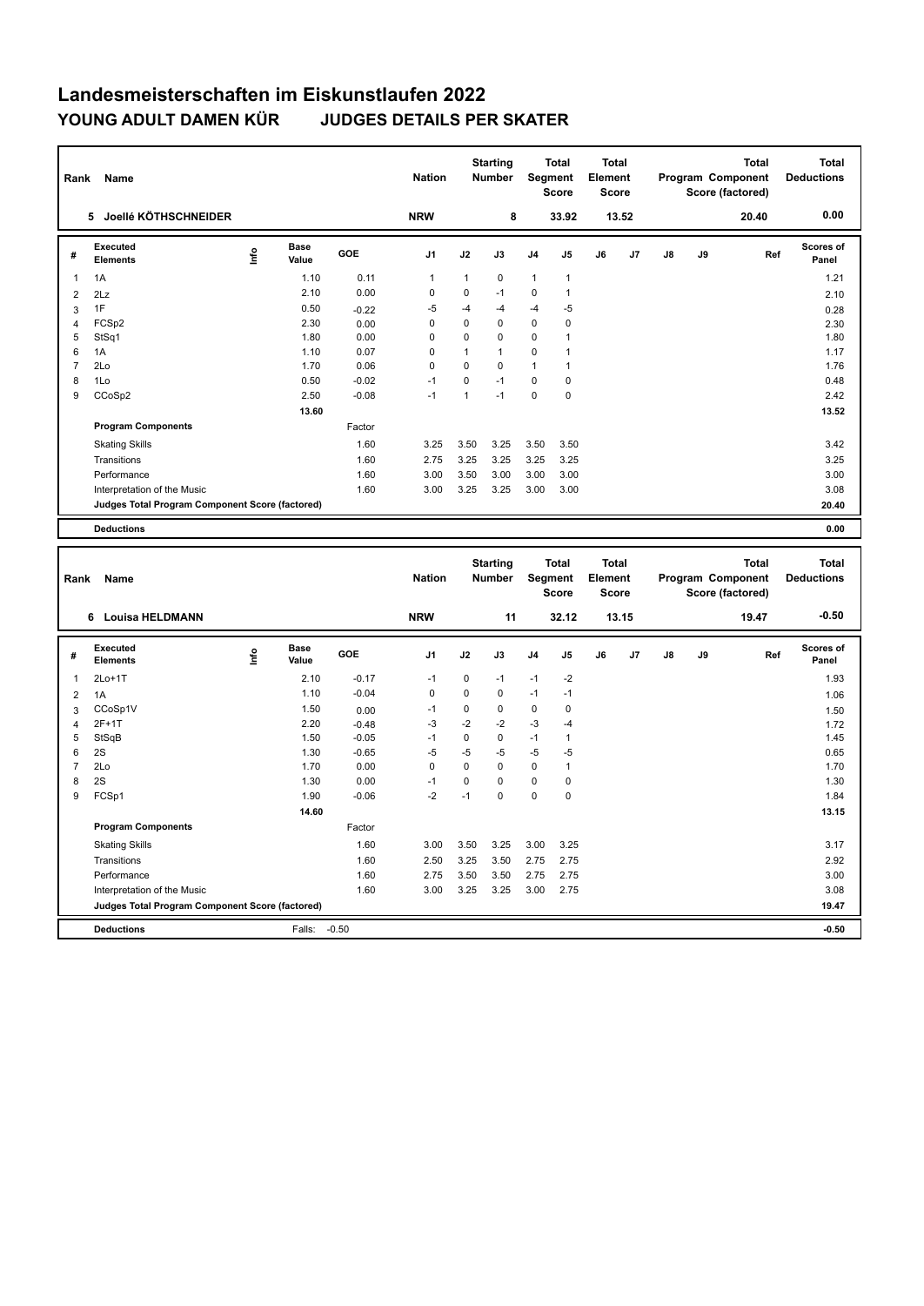| Rank                | Name                                                                 |      |                      |                    | <b>Nation</b>  |              | <b>Starting</b><br>Number |             | <b>Total</b><br><b>Segment</b><br><b>Score</b> | <b>Total</b><br>Element<br><b>Score</b> |       |    |    | Program Component<br>Score (factored) | <b>Total</b> | <b>Total</b><br><b>Deductions</b> |
|---------------------|----------------------------------------------------------------------|------|----------------------|--------------------|----------------|--------------|---------------------------|-------------|------------------------------------------------|-----------------------------------------|-------|----|----|---------------------------------------|--------------|-----------------------------------|
|                     | 5 Joellé KÖTHSCHNEIDER                                               |      |                      |                    | <b>NRW</b>     |              | 8                         |             | 33.92                                          |                                         | 13.52 |    |    | 20.40                                 |              | 0.00                              |
| #                   | <b>Executed</b><br><b>Elements</b>                                   | lnfo | <b>Base</b><br>Value | GOE                | J <sub>1</sub> | J2           | J3                        | J4          | J5                                             | J6                                      | J7    | J8 | J9 |                                       | Ref          | Scores of<br>Panel                |
| 1                   | 1A                                                                   |      | 1.10                 | 0.11               | 1              | $\mathbf{1}$ | 0                         | 1           | $\mathbf{1}$                                   |                                         |       |    |    |                                       |              | 1.21                              |
| $\overline{2}$      | 2Lz                                                                  |      | 2.10                 | 0.00               | $\mathbf 0$    | 0            | $-1$                      | $\mathbf 0$ | $\mathbf{1}$                                   |                                         |       |    |    |                                       |              | 2.10                              |
| 3                   | 1F                                                                   |      | 0.50                 | $-0.22$            | $-5$           | $-4$         | $-4$                      | $-4$        | $-5$                                           |                                         |       |    |    |                                       |              | 0.28                              |
| $\overline{4}$      | FCSp2                                                                |      | 2.30                 | 0.00               | $\mathbf 0$    | $\pmb{0}$    | $\mathbf 0$               | 0           | $\mathbf 0$                                    |                                         |       |    |    |                                       |              | 2.30                              |
| 5                   | StSq1                                                                |      | 1.80                 | 0.00               | $\mathbf 0$    | 0            | $\mathbf 0$               | $\mathbf 0$ | 1                                              |                                         |       |    |    |                                       |              | 1.80                              |
| 6                   | 1A                                                                   |      | 1.10                 | 0.07               | $\mathbf 0$    | $\mathbf{1}$ | $\mathbf{1}$              | 0           | $\mathbf{1}$                                   |                                         |       |    |    |                                       |              | 1.17                              |
| $\overline{7}$      | 2Lo                                                                  |      | 1.70                 | 0.06               | $\mathbf 0$    | $\mathbf 0$  | $\mathbf 0$               | 1           | $\mathbf{1}$                                   |                                         |       |    |    |                                       |              | 1.76                              |
| 8                   | 1Lo                                                                  |      | 0.50                 | $-0.02$            | $-1$           | $\pmb{0}$    | $-1$                      | 0           | $\mathsf 0$                                    |                                         |       |    |    |                                       |              | 0.48                              |
| 9                   | CCoSp2                                                               |      | 2.50                 | $-0.08$            | $-1$           | $\mathbf{1}$ | $-1$                      | $\mathbf 0$ | 0                                              |                                         |       |    |    |                                       |              | 2.42                              |
|                     |                                                                      |      | 13.60                |                    |                |              |                           |             |                                                |                                         |       |    |    |                                       |              | 13.52                             |
|                     | <b>Program Components</b>                                            |      |                      | Factor             |                |              |                           |             |                                                |                                         |       |    |    |                                       |              |                                   |
|                     | <b>Skating Skills</b>                                                |      |                      | 1.60               | 3.25           | 3.50         | 3.25                      | 3.50        | 3.50                                           |                                         |       |    |    |                                       |              | 3.42                              |
|                     | Transitions                                                          |      |                      | 1.60               | 2.75           | 3.25         | 3.25                      | 3.25        | 3.25                                           |                                         |       |    |    |                                       |              | 3.25                              |
|                     | Performance                                                          |      |                      | 1.60               | 3.00           | 3.50         | 3.00                      | 3.00        | 3.00                                           |                                         |       |    |    |                                       |              | 3.00                              |
|                     | Interpretation of the Music                                          |      |                      | 1.60               | 3.00           | 3.25         | 3.25                      | 3.00        | 3.00                                           |                                         |       |    |    |                                       |              | 3.08                              |
|                     | Judges Total Program Component Score (factored)                      |      |                      |                    |                |              |                           |             |                                                |                                         |       |    |    |                                       |              | 20.40                             |
|                     |                                                                      |      |                      |                    |                |              |                           |             |                                                |                                         |       |    |    |                                       |              |                                   |
|                     | <b>Deductions</b>                                                    |      |                      |                    |                |              |                           |             |                                                |                                         |       |    |    |                                       |              | 0.00                              |
|                     |                                                                      |      |                      |                    |                |              |                           |             |                                                |                                         |       |    |    |                                       |              |                                   |
| Rank                | Name                                                                 |      |                      |                    | <b>Nation</b>  |              | <b>Starting</b><br>Number |             | <b>Total</b><br>Segment                        | <b>Total</b><br>Element                 |       |    |    | Program Component                     | <b>Total</b> | <b>Total</b><br><b>Deductions</b> |
|                     |                                                                      |      |                      |                    |                |              |                           |             | Score                                          | Score                                   |       |    |    | Score (factored)                      |              | $-0.50$                           |
|                     | 6 Louisa HELDMANN                                                    |      |                      |                    | <b>NRW</b>     |              | 11                        |             | 32.12                                          |                                         | 13.15 |    |    | 19.47                                 |              |                                   |
| #                   | <b>Executed</b><br><b>Elements</b>                                   | ١nf٥ | <b>Base</b><br>Value | GOE                | J1             | J2           | J3                        | J4          | J5                                             | J6                                      | J7    | J8 | J9 |                                       | Ref          | Scores of<br>Panel                |
| 1                   | $2Lo+1T$                                                             |      | 2.10                 | $-0.17$            | $-1$           | 0            | $-1$                      | $-1$        | $-2$                                           |                                         |       |    |    |                                       |              | 1.93                              |
|                     | 1A                                                                   |      | 1.10                 | $-0.04$            | $\mathbf 0$    | 0            | $\mathbf 0$               | $-1$        | $-1$                                           |                                         |       |    |    |                                       |              | 1.06                              |
| $\overline{c}$<br>3 | CCoSp1V                                                              |      | 1.50                 |                    | $-1$           | 0            | 0                         | 0           | $\mathbf 0$                                    |                                         |       |    |    |                                       |              |                                   |
| 4                   | 2F+1T                                                                |      | 2.20                 | 0.00               | $-3$           | $-2$         | $-2$                      | $-3$        | $-4$                                           |                                         |       |    |    |                                       |              | 1.50                              |
| 5                   | StSqB                                                                |      | 1.50                 | $-0.48$<br>$-0.05$ | $-1$           | $\mathbf 0$  | $\mathbf 0$               | $-1$        | $\mathbf{1}$                                   |                                         |       |    |    |                                       |              | 1.72<br>1.45                      |
| 6                   | 2S                                                                   |      | 1.30                 | $-0.65$            | $-5$           | $-5$         | -5                        | $-5$        | $-5$                                           |                                         |       |    |    |                                       |              | 0.65                              |
| $\overline{7}$      | 2Lo                                                                  |      | 1.70                 | 0.00               | $\mathbf 0$    | $\pmb{0}$    | $\mathbf 0$               | $\mathbf 0$ | $\mathbf{1}$                                   |                                         |       |    |    |                                       |              | 1.70                              |
| 8                   | 2S                                                                   |      | 1.30                 | 0.00               | $-1$           | 0            | $\mathbf 0$               | $\mathbf 0$ | $\mathsf 0$                                    |                                         |       |    |    |                                       |              | 1.30                              |
| 9                   | FCSp1                                                                |      | 1.90                 | $-0.06$            | $-2$           | $-1$         | $\mathbf 0$               | $\mathbf 0$ | $\mathbf 0$                                    |                                         |       |    |    |                                       |              | 1.84                              |
|                     |                                                                      |      | 14.60                |                    |                |              |                           |             |                                                |                                         |       |    |    |                                       |              | 13.15                             |
|                     | <b>Program Components</b>                                            |      |                      | Factor             |                |              |                           |             |                                                |                                         |       |    |    |                                       |              |                                   |
|                     | <b>Skating Skills</b>                                                |      |                      | 1.60               | 3.00           | 3.50         | 3.25                      | 3.00        | 3.25                                           |                                         |       |    |    |                                       |              | 3.17                              |
|                     |                                                                      |      |                      |                    |                |              |                           |             |                                                |                                         |       |    |    |                                       |              |                                   |
|                     | Transitions                                                          |      |                      | 1.60               | 2.50           | 3.25         | 3.50                      | 2.75        | 2.75                                           |                                         |       |    |    |                                       |              | 2.92                              |
|                     | Performance                                                          |      |                      | 1.60               | 2.75           | 3.50         | 3.50                      | 2.75        | 2.75                                           |                                         |       |    |    |                                       |              | 3.00                              |
|                     | Interpretation of the Music                                          |      |                      | 1.60               | 3.00           | 3.25         | 3.25                      | 3.00        | 2.75                                           |                                         |       |    |    |                                       |              | 3.08                              |
|                     | Judges Total Program Component Score (factored)<br><b>Deductions</b> |      | Falls:               | $-0.50$            |                |              |                           |             |                                                |                                         |       |    |    |                                       |              | 19.47<br>$-0.50$                  |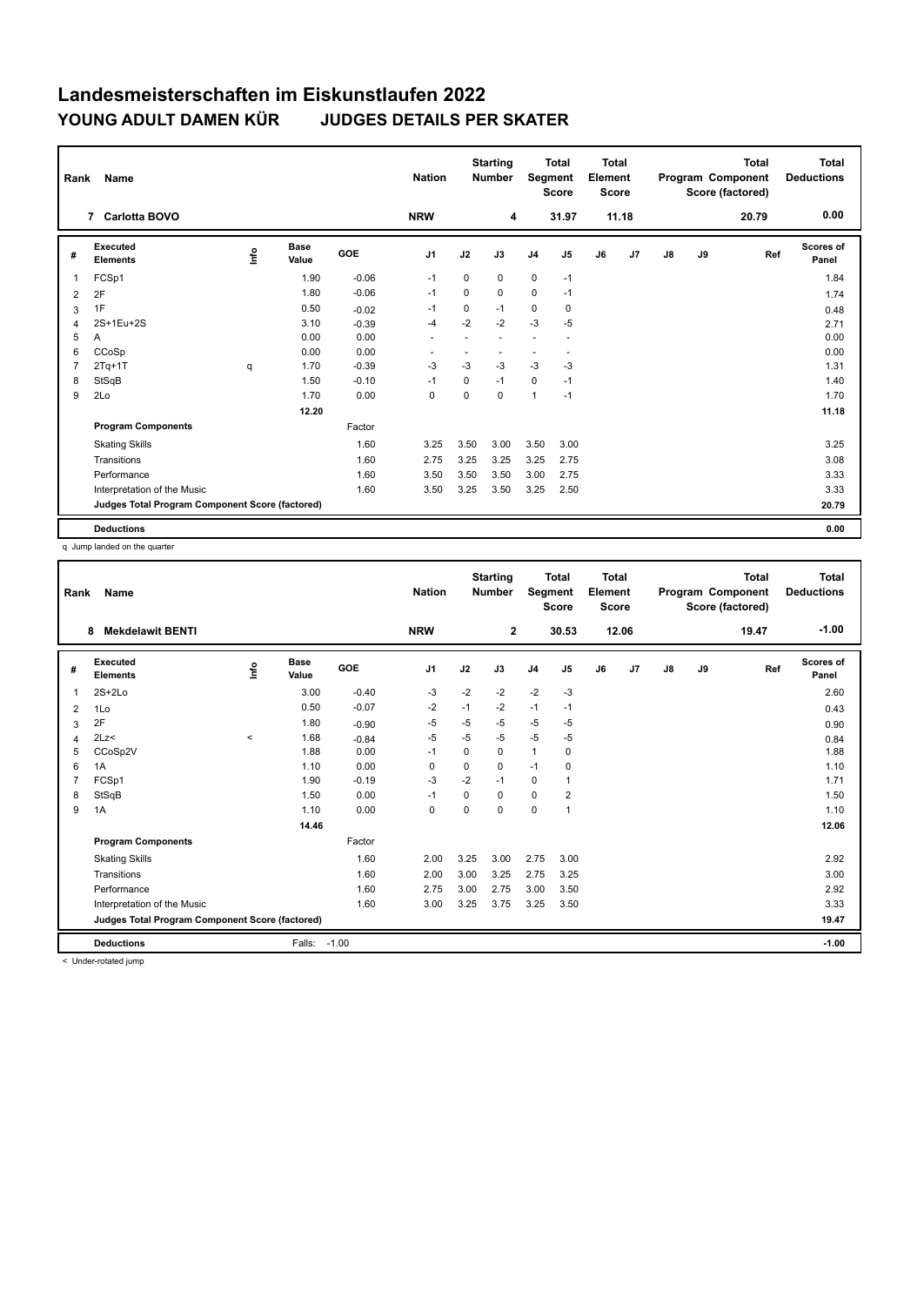| Rank           | Name                                            |      |               |            | <b>Nation</b>  |             | <b>Starting</b><br><b>Number</b> | Segment        | <b>Total</b><br><b>Score</b> | <b>Total</b><br>Element<br>Score |                |               |    | <b>Total</b><br>Program Component<br>Score (factored) | <b>Total</b><br><b>Deductions</b> |
|----------------|-------------------------------------------------|------|---------------|------------|----------------|-------------|----------------------------------|----------------|------------------------------|----------------------------------|----------------|---------------|----|-------------------------------------------------------|-----------------------------------|
|                | <b>Carlotta BOVO</b><br>$\overline{7}$          |      |               |            | <b>NRW</b>     |             | 4                                |                | 31.97                        |                                  | 11.18          |               |    | 20.79                                                 | 0.00                              |
| #              | Executed<br><b>Elements</b>                     | ١nf٥ | Base<br>Value | <b>GOE</b> | J <sub>1</sub> | J2          | J3                               | J <sub>4</sub> | J <sub>5</sub>               | J6                               | J <sub>7</sub> | $\mathsf{J}8$ | J9 | Ref                                                   | <b>Scores of</b><br>Panel         |
| 1              | FCSp1                                           |      | 1.90          | $-0.06$    | $-1$           | 0           | $\Omega$                         | $\mathbf 0$    | $-1$                         |                                  |                |               |    |                                                       | 1.84                              |
| 2              | 2F                                              |      | 1.80          | $-0.06$    | $-1$           | 0           | 0                                | $\mathbf 0$    | $-1$                         |                                  |                |               |    |                                                       | 1.74                              |
| 3              | 1F                                              |      | 0.50          | $-0.02$    | $-1$           | 0           | $-1$                             | 0              | 0                            |                                  |                |               |    |                                                       | 0.48                              |
| $\overline{4}$ | 2S+1Eu+2S                                       |      | 3.10          | $-0.39$    | $-4$           | $-2$        | $-2$                             | $-3$           | $-5$                         |                                  |                |               |    |                                                       | 2.71                              |
| 5              | Α                                               |      | 0.00          | 0.00       | ٠              |             |                                  | ٠              | ٠                            |                                  |                |               |    |                                                       | 0.00                              |
| 6              | CCoSp                                           |      | 0.00          | 0.00       | ٠              |             |                                  |                |                              |                                  |                |               |    |                                                       | 0.00                              |
| $\overline{7}$ | $2Tq+1T$                                        | q    | 1.70          | $-0.39$    | $-3$           | $-3$        | $-3$                             | $-3$           | $-3$                         |                                  |                |               |    |                                                       | 1.31                              |
| 8              | StSqB                                           |      | 1.50          | $-0.10$    | $-1$           | 0           | $-1$                             | $\mathbf 0$    | $-1$                         |                                  |                |               |    |                                                       | 1.40                              |
| 9              | 2Lo                                             |      | 1.70          | 0.00       | 0              | $\mathbf 0$ | $\mathbf 0$                      | $\mathbf{1}$   | $-1$                         |                                  |                |               |    |                                                       | 1.70                              |
|                |                                                 |      | 12.20         |            |                |             |                                  |                |                              |                                  |                |               |    |                                                       | 11.18                             |
|                | <b>Program Components</b>                       |      |               | Factor     |                |             |                                  |                |                              |                                  |                |               |    |                                                       |                                   |
|                | <b>Skating Skills</b>                           |      |               | 1.60       | 3.25           | 3.50        | 3.00                             | 3.50           | 3.00                         |                                  |                |               |    |                                                       | 3.25                              |
|                | Transitions                                     |      |               | 1.60       | 2.75           | 3.25        | 3.25                             | 3.25           | 2.75                         |                                  |                |               |    |                                                       | 3.08                              |
|                | Performance                                     |      |               | 1.60       | 3.50           | 3.50        | 3.50                             | 3.00           | 2.75                         |                                  |                |               |    |                                                       | 3.33                              |
|                | Interpretation of the Music                     |      |               | 1.60       | 3.50           | 3.25        | 3.50                             | 3.25           | 2.50                         |                                  |                |               |    |                                                       | 3.33                              |
|                | Judges Total Program Component Score (factored) |      |               |            |                |             |                                  |                |                              |                                  |                |               |    |                                                       | 20.79                             |
|                | <b>Deductions</b>                               |      |               |            |                |             |                                  |                |                              |                                  |                |               |    |                                                       | 0.00                              |

q Jump landed on the quarter

| Rank | Name                                            |         |                      |         | <b>Nation</b>  |      | <b>Starting</b><br><b>Number</b> | Segment        | <b>Total</b><br><b>Score</b> | <b>Total</b><br>Element<br><b>Score</b> |       |               |    | <b>Total</b><br>Program Component<br>Score (factored) | <b>Total</b><br><b>Deductions</b> |
|------|-------------------------------------------------|---------|----------------------|---------|----------------|------|----------------------------------|----------------|------------------------------|-----------------------------------------|-------|---------------|----|-------------------------------------------------------|-----------------------------------|
|      | <b>Mekdelawit BENTI</b><br>8                    |         |                      |         | <b>NRW</b>     |      | $\mathbf{2}$                     |                | 30.53                        |                                         | 12.06 |               |    | 19.47                                                 | $-1.00$                           |
| #    | Executed<br><b>Elements</b>                     | Info    | <b>Base</b><br>Value | GOE     | J <sub>1</sub> | J2   | J3                               | J <sub>4</sub> | J5                           | J6                                      | J7    | $\mathsf{J}8$ | J9 | Ref                                                   | Scores of<br>Panel                |
| 1    | $2S+2Lo$                                        |         | 3.00                 | $-0.40$ | $-3$           | $-2$ | $-2$                             | $-2$           | $-3$                         |                                         |       |               |    |                                                       | 2.60                              |
| 2    | 1Lo                                             |         | 0.50                 | $-0.07$ | $-2$           | $-1$ | $-2$                             | $-1$           | $-1$                         |                                         |       |               |    |                                                       | 0.43                              |
| 3    | 2F                                              |         | 1.80                 | $-0.90$ | -5             | -5   | $-5$                             | $-5$           | -5                           |                                         |       |               |    |                                                       | 0.90                              |
| 4    | 2Lz                                             | $\prec$ | 1.68                 | $-0.84$ | $-5$           | $-5$ | $-5$                             | $-5$           | $-5$                         |                                         |       |               |    |                                                       | 0.84                              |
| 5    | CCoSp2V                                         |         | 1.88                 | 0.00    | $-1$           | 0    | 0                                | $\mathbf{1}$   | 0                            |                                         |       |               |    |                                                       | 1.88                              |
| 6    | 1A                                              |         | 1.10                 | 0.00    | 0              | 0    | 0                                | $-1$           | 0                            |                                         |       |               |    |                                                       | 1.10                              |
|      | FCSp1                                           |         | 1.90                 | $-0.19$ | $-3$           | $-2$ | $-1$                             | 0              |                              |                                         |       |               |    |                                                       | 1.71                              |
| 8    | StSqB                                           |         | 1.50                 | 0.00    | $-1$           | 0    | $\Omega$                         | $\mathbf 0$    | 2                            |                                         |       |               |    |                                                       | 1.50                              |
| 9    | 1A                                              |         | 1.10                 | 0.00    | $\mathbf 0$    | 0    | 0                                | $\mathbf 0$    | 1                            |                                         |       |               |    |                                                       | 1.10                              |
|      |                                                 |         | 14.46                |         |                |      |                                  |                |                              |                                         |       |               |    |                                                       | 12.06                             |
|      | <b>Program Components</b>                       |         |                      | Factor  |                |      |                                  |                |                              |                                         |       |               |    |                                                       |                                   |
|      | <b>Skating Skills</b>                           |         |                      | 1.60    | 2.00           | 3.25 | 3.00                             | 2.75           | 3.00                         |                                         |       |               |    |                                                       | 2.92                              |
|      | Transitions                                     |         |                      | 1.60    | 2.00           | 3.00 | 3.25                             | 2.75           | 3.25                         |                                         |       |               |    |                                                       | 3.00                              |
|      | Performance                                     |         |                      | 1.60    | 2.75           | 3.00 | 2.75                             | 3.00           | 3.50                         |                                         |       |               |    |                                                       | 2.92                              |
|      | Interpretation of the Music                     |         |                      | 1.60    | 3.00           | 3.25 | 3.75                             | 3.25           | 3.50                         |                                         |       |               |    |                                                       | 3.33                              |
|      | Judges Total Program Component Score (factored) |         |                      |         |                |      |                                  |                |                              |                                         |       |               |    |                                                       | 19.47                             |
|      | <b>Deductions</b>                               |         | Falls:               | $-1.00$ |                |      |                                  |                |                              |                                         |       |               |    |                                                       | $-1.00$                           |

< Under-rotated jump